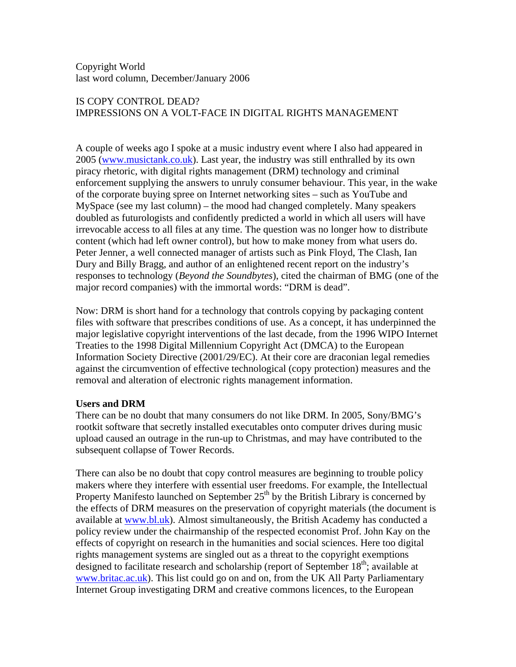Copyright World last word column, December/January 2006

## IS COPY CONTROL DEAD? IMPRESSIONS ON A VOLT-FACE IN DIGITAL RIGHTS MANAGEMENT

A couple of weeks ago I spoke at a music industry event where I also had appeared in 2005 ([www.musictank.co.uk\)](http://www.musictank.co.uk). Last year, the industry was still enthralled by its own piracy rhetoric, with digital rights management (DRM) technology and criminal enforcement supplying the answers to unruly consumer behaviour. This year, in the wake of the corporate buying spree on Internet networking sites – such as YouTube and MySpace (see my last column) – the mood had changed completely. Many speakers doubled as futurologists and confidently predicted a world in which all users will have irrevocable access to all files at any time. The question was no longer how to distribute content (which had left owner control), but how to make money from what users do. Peter Jenner, a well connected manager of artists such as Pink Floyd, The Clash, Ian Dury and Billy Bragg, and author of an enlightened recent report on the industry's responses to technology (*Beyond the Soundbytes*), cited the chairman of BMG (one of the major record companies) with the immortal words: "DRM is dead".

Now: DRM is short hand for a technology that controls copying by packaging content files with software that prescribes conditions of use. As a concept, it has underpinned the major legislative copyright interventions of the last decade, from the 1996 WIPO Internet Treaties to the 1998 Digital Millennium Copyright Act (DMCA) to the European Information Society Directive (2001/29/EC). At their core are draconian legal remedies against the circumvention of effective technological (copy protection) measures and the removal and alteration of electronic rights management information.

## **Users and DRM**

There can be no doubt that many consumers do not like DRM. In 2005, Sony/BMG's rootkit software that secretly installed executables onto computer drives during music upload caused an outrage in the run-up to Christmas, and may have contributed to the subsequent collapse of Tower Records.

There can also be no doubt that copy control measures are beginning to trouble policy makers where they interfere with essential user freedoms. For example, the Intellectual Property Manifesto launched on September  $25<sup>th</sup>$  by the British Library is concerned by the effects of DRM measures on the preservation of copyright materials (the document is available at [www.bl.uk](http://www.bl.uk)). Almost simultaneously, the British Academy has conducted a policy review under the chairmanship of the respected economist Prof. John Kay on the effects of copyright on research in the humanities and social sciences. Here too digital rights management systems are singled out as a threat to the copyright exemptions designed to facilitate research and scholarship (report of September  $18<sup>th</sup>$ ; available at [www.britac.ac.uk](http://www.britac.ac.uk)). This list could go on and on, from the UK All Party Parliamentary Internet Group investigating DRM and creative commons licences, to the European